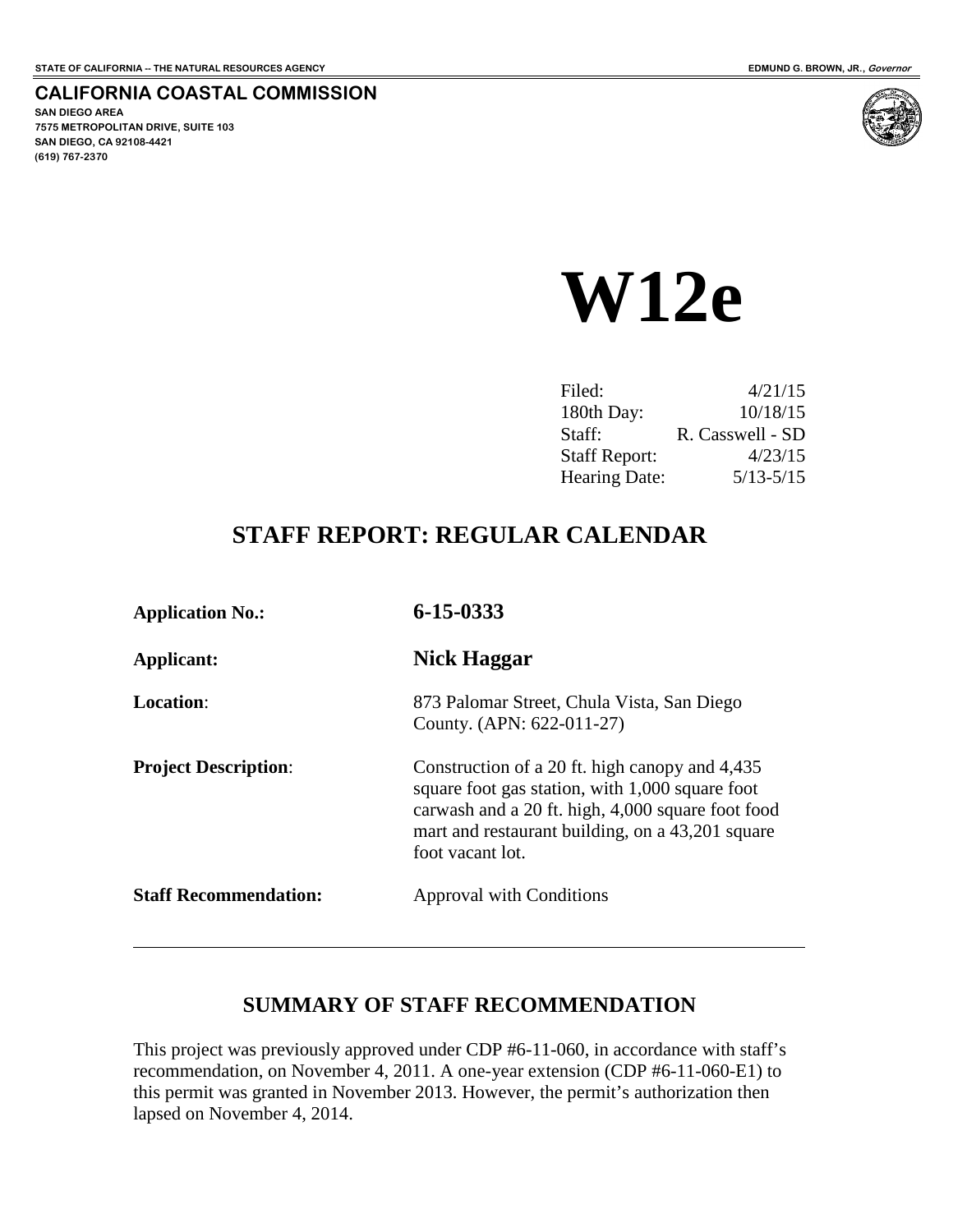#### **CALIFORNIA COASTAL COMMISSION**

**SAN DIEGO AREA 7575 METROPOLITAN DRIVE, SUITE 103 SAN DIEGO, CA 92108-4421 (619) 767-2370**

 $\overline{a}$ 



# **W12e**

| Filed:               | 4/21/15          |
|----------------------|------------------|
| 180th Day:           | 10/18/15         |
| Staff:               | R. Casswell - SD |
| <b>Staff Report:</b> | 4/23/15          |
| <b>Hearing Date:</b> | $5/13 - 5/15$    |

## **STAFF REPORT: REGULAR CALENDAR**

| <b>Application No.:</b>      | 6-15-0333                                                                                                                                                                                                                      |
|------------------------------|--------------------------------------------------------------------------------------------------------------------------------------------------------------------------------------------------------------------------------|
| Applicant:                   | Nick Haggar                                                                                                                                                                                                                    |
| Location:                    | 873 Palomar Street, Chula Vista, San Diego<br>County. (APN: 622-011-27)                                                                                                                                                        |
| <b>Project Description:</b>  | Construction of a 20 ft. high canopy and 4,435<br>square foot gas station, with 1,000 square foot<br>carwash and a 20 ft. high, 4,000 square foot food<br>mart and restaurant building, on a 43,201 square<br>foot vacant lot. |
| <b>Staff Recommendation:</b> | Approval with Conditions                                                                                                                                                                                                       |

#### **SUMMARY OF STAFF RECOMMENDATION**

This project was previously approved under CDP #6-11-060, in accordance with staff's recommendation, on November 4, 2011. A one-year extension (CDP #6-11-060-E1) to this permit was granted in November 2013. However, the permit's authorization then lapsed on November 4, 2014.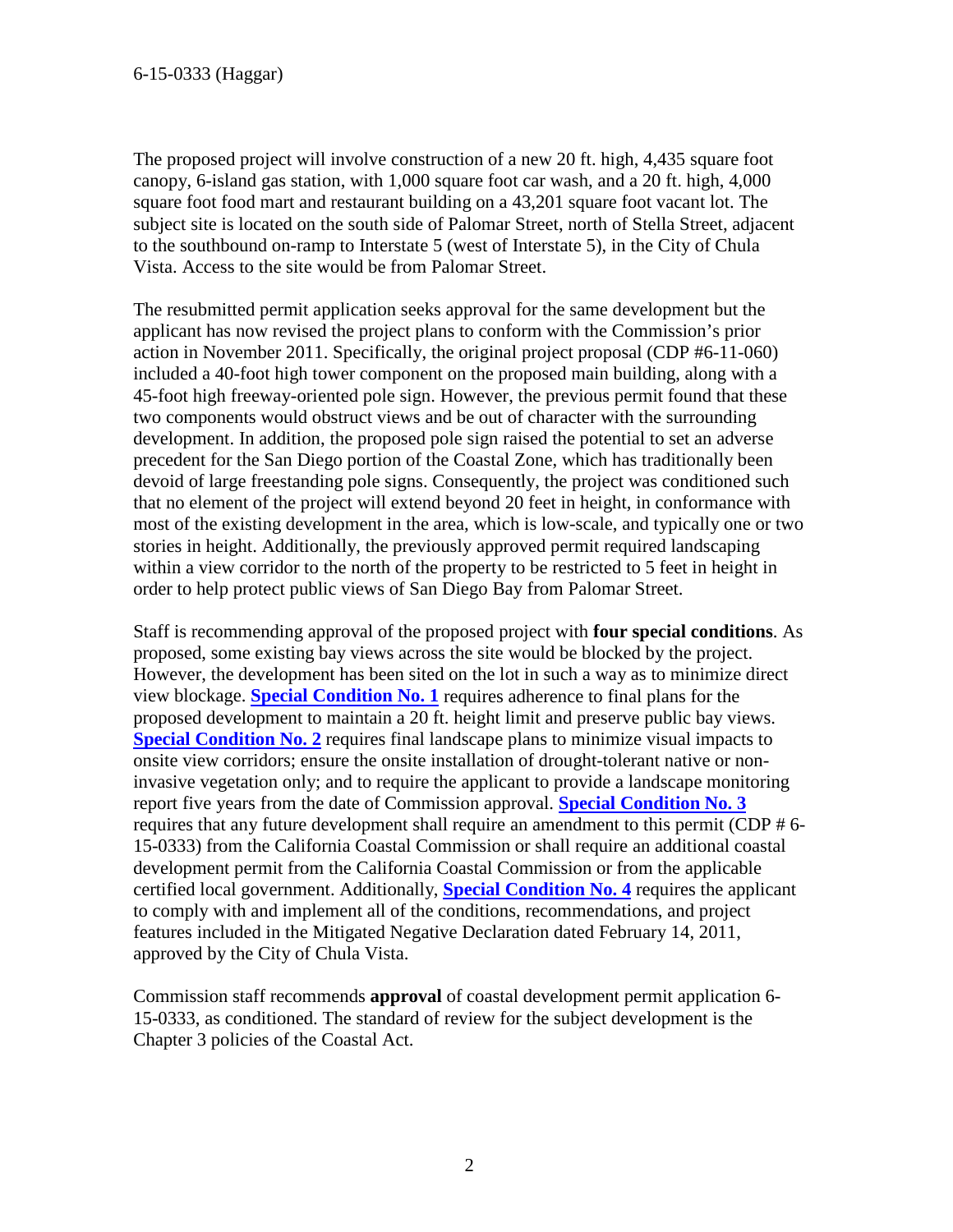The proposed project will involve construction of a new 20 ft. high, 4,435 square foot canopy, 6-island gas station, with 1,000 square foot car wash, and a 20 ft. high, 4,000 square foot food mart and restaurant building on a 43,201 square foot vacant lot. The subject site is located on the south side of Palomar Street, north of Stella Street, adjacent to the southbound on-ramp to Interstate 5 (west of Interstate 5), in the City of Chula Vista. Access to the site would be from Palomar Street.

The resubmitted permit application seeks approval for the same development but the applicant has now revised the project plans to conform with the Commission's prior action in November 2011. Specifically, the original project proposal (CDP #6-11-060) included a 40-foot high tower component on the proposed main building, along with a 45-foot high freeway-oriented pole sign. However, the previous permit found that these two components would obstruct views and be out of character with the surrounding development. In addition, the proposed pole sign raised the potential to set an adverse precedent for the San Diego portion of the Coastal Zone, which has traditionally been devoid of large freestanding pole signs. Consequently, the project was conditioned such that no element of the project will extend beyond 20 feet in height, in conformance with most of the existing development in the area, which is low-scale, and typically one or two stories in height. Additionally, the previously approved permit required landscaping within a view corridor to the north of the property to be restricted to 5 feet in height in order to help protect public views of San Diego Bay from Palomar Street.

Staff is recommending approval of the proposed project with **four special conditions**. As proposed, some existing bay views across the site would be blocked by the project. However, the development has been sited on the lot in such a way as to minimize direct view blockage. **[Special Condition No. 1](#page-4-0)** requires adherence to final plans for the proposed development to maintain a 20 ft. height limit and preserve public bay views. **[Special Condition No. 2](#page-4-1)** requires final landscape plans to minimize visual impacts to onsite view corridors; ensure the onsite installation of drought-tolerant native or noninvasive vegetation only; and to require the applicant to provide a landscape monitoring report five years from the date of Commission approval. **[Special Condition No. 3](#page-5-0)** requires that any future development shall require an amendment to this permit (CDP # 6- 15-0333) from the California Coastal Commission or shall require an additional coastal development permit from the California Coastal Commission or from the applicable certified local government. Additionally, **[Special Condition No. 4](#page-5-1)** requires the applicant to comply with and implement all of the conditions, recommendations, and project features included in the Mitigated Negative Declaration dated February 14, 2011, approved by the City of Chula Vista.

Commission staff recommends **approval** of coastal development permit application 6- 15-0333, as conditioned. The standard of review for the subject development is the Chapter 3 policies of the Coastal Act.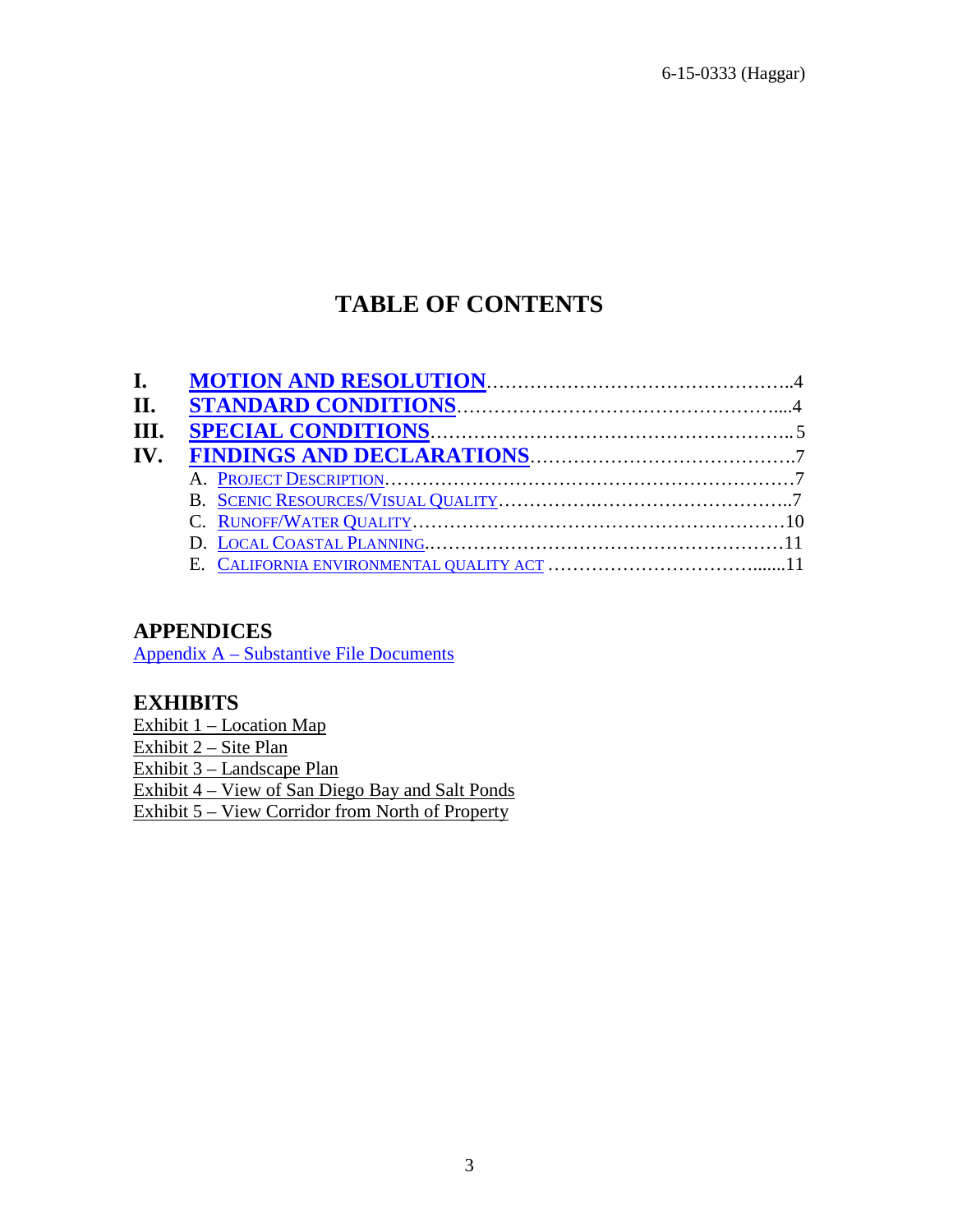6-15-0333 (Haggar)

## **TABLE OF CONTENTS**

| П.   |  |
|------|--|
| III. |  |
| IV.  |  |
|      |  |
|      |  |
|      |  |
|      |  |
|      |  |

#### **APPENDICES**

[Appendix A – Substantive File Documents](#page-11-0)

#### **EXHIBITS**

Exhibit 1 – Location Map Exhibit 2 – Site Plan Exhibit 3 – Landscape Plan Exhibit 4 – View of San Diego Bay and Salt Ponds Exhibit 5 – View Corridor from North of Property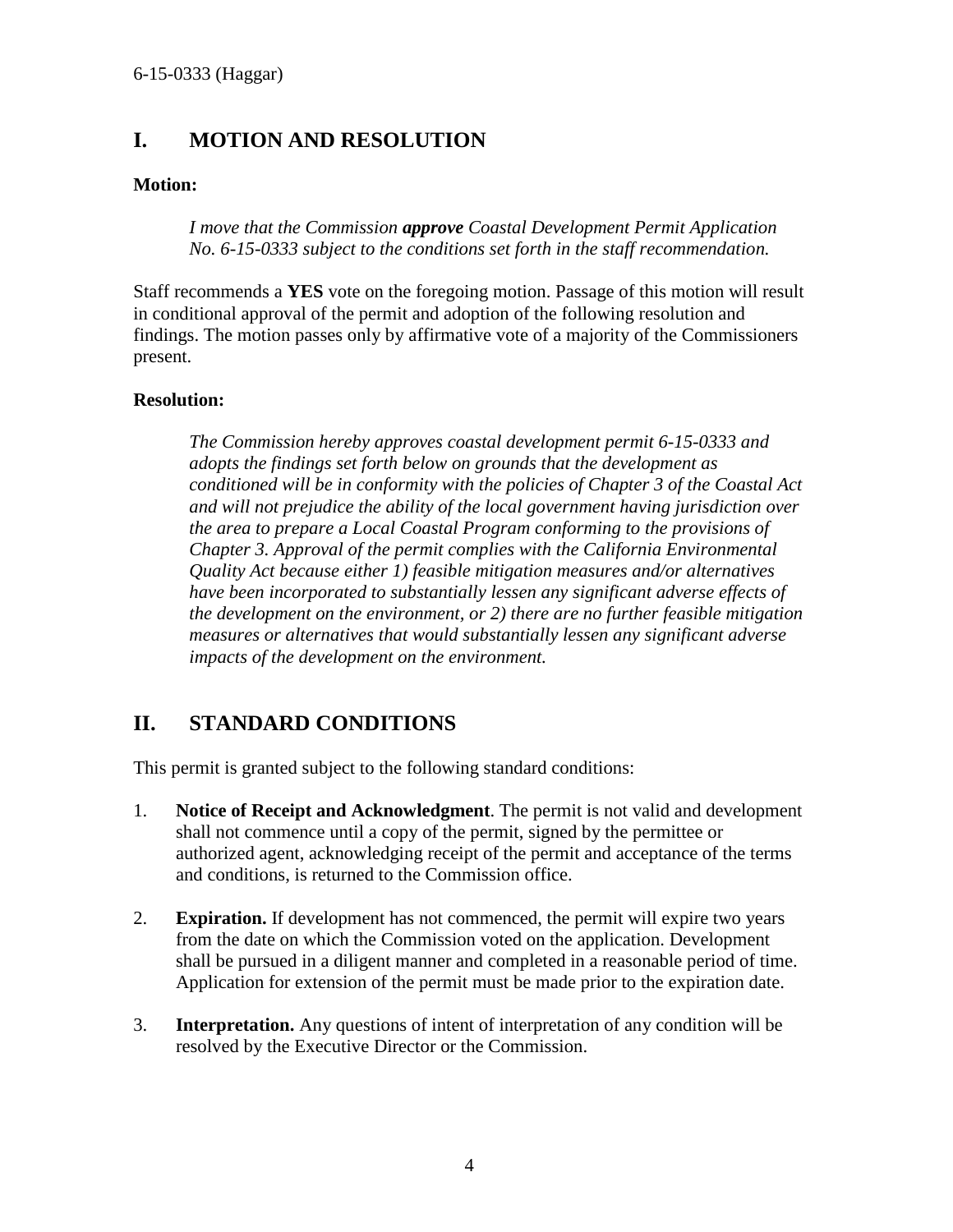## <span id="page-3-0"></span>**I. MOTION AND RESOLUTION**

#### **Motion:**

*I move that the Commission approve Coastal Development Permit Application No. 6-15-0333 subject to the conditions set forth in the staff recommendation.* 

Staff recommends a **YES** vote on the foregoing motion. Passage of this motion will result in conditional approval of the permit and adoption of the following resolution and findings. The motion passes only by affirmative vote of a majority of the Commissioners present.

#### **Resolution:**

*The Commission hereby approves coastal development permit 6-15-0333 and adopts the findings set forth below on grounds that the development as conditioned will be in conformity with the policies of Chapter 3 of the Coastal Act and will not prejudice the ability of the local government having jurisdiction over the area to prepare a Local Coastal Program conforming to the provisions of Chapter 3. Approval of the permit complies with the California Environmental Quality Act because either 1) feasible mitigation measures and/or alternatives have been incorporated to substantially lessen any significant adverse effects of the development on the environment, or 2) there are no further feasible mitigation measures or alternatives that would substantially lessen any significant adverse impacts of the development on the environment.* 

#### <span id="page-3-1"></span>**II. STANDARD CONDITIONS**

This permit is granted subject to the following standard conditions:

- 1. **Notice of Receipt and Acknowledgment**. The permit is not valid and development shall not commence until a copy of the permit, signed by the permittee or authorized agent, acknowledging receipt of the permit and acceptance of the terms and conditions, is returned to the Commission office.
- 2. **Expiration.** If development has not commenced, the permit will expire two years from the date on which the Commission voted on the application. Development shall be pursued in a diligent manner and completed in a reasonable period of time. Application for extension of the permit must be made prior to the expiration date.
- 3. **Interpretation.** Any questions of intent of interpretation of any condition will be resolved by the Executive Director or the Commission.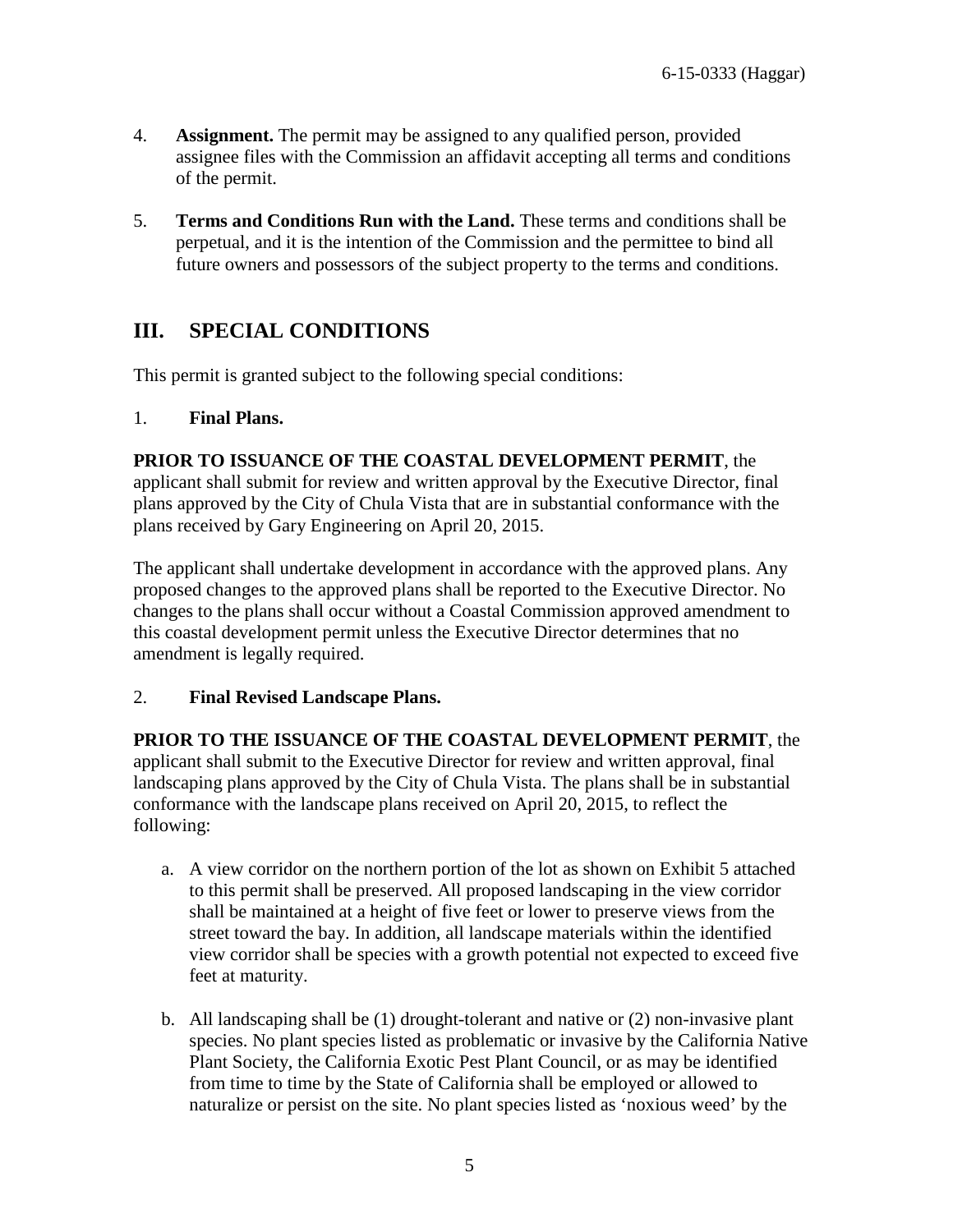- 4. **Assignment.** The permit may be assigned to any qualified person, provided assignee files with the Commission an affidavit accepting all terms and conditions of the permit.
- 5. **Terms and Conditions Run with the Land.** These terms and conditions shall be perpetual, and it is the intention of the Commission and the permittee to bind all future owners and possessors of the subject property to the terms and conditions.

## <span id="page-4-2"></span>**III. SPECIAL CONDITIONS**

This permit is granted subject to the following special conditions:

#### <span id="page-4-0"></span>1. **Final Plans.**

**PRIOR TO ISSUANCE OF THE COASTAL DEVELOPMENT PERMIT**, the applicant shall submit for review and written approval by the Executive Director, final plans approved by the City of Chula Vista that are in substantial conformance with the plans received by Gary Engineering on April 20, 2015.

The applicant shall undertake development in accordance with the approved plans. Any proposed changes to the approved plans shall be reported to the Executive Director. No changes to the plans shall occur without a Coastal Commission approved amendment to this coastal development permit unless the Executive Director determines that no amendment is legally required.

#### <span id="page-4-1"></span>2. **Final Revised Landscape Plans.**

**PRIOR TO THE ISSUANCE OF THE COASTAL DEVELOPMENT PERMIT**, the applicant shall submit to the Executive Director for review and written approval, final landscaping plans approved by the City of Chula Vista. The plans shall be in substantial conformance with the landscape plans received on April 20, 2015, to reflect the following:

- a. A view corridor on the northern portion of the lot as shown on Exhibit 5 attached to this permit shall be preserved. All proposed landscaping in the view corridor shall be maintained at a height of five feet or lower to preserve views from the street toward the bay. In addition, all landscape materials within the identified view corridor shall be species with a growth potential not expected to exceed five feet at maturity.
- b. All landscaping shall be (1) drought-tolerant and native or (2) non-invasive plant species. No plant species listed as problematic or invasive by the California Native Plant Society, the California Exotic Pest Plant Council, or as may be identified from time to time by the State of California shall be employed or allowed to naturalize or persist on the site. No plant species listed as 'noxious weed' by the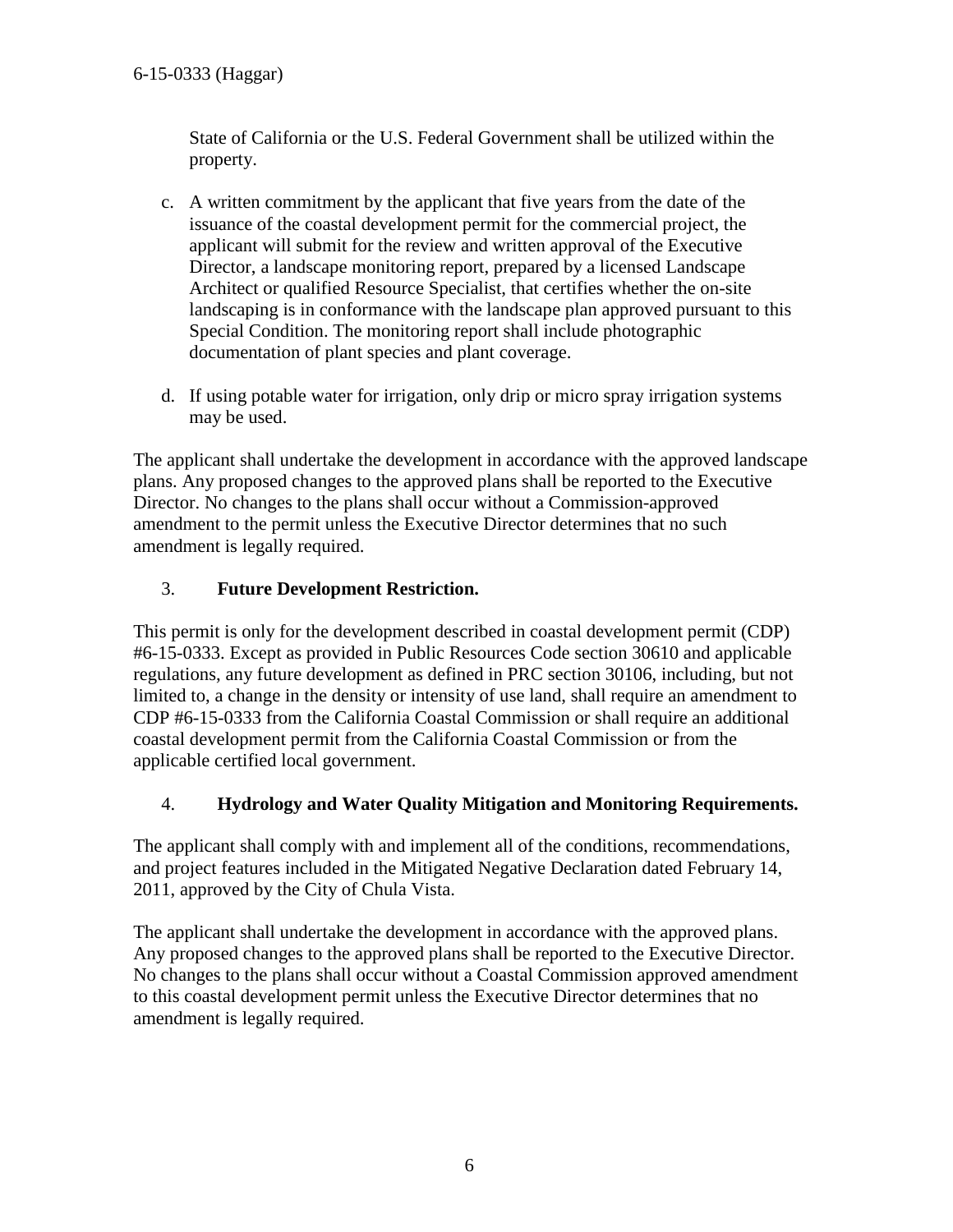State of California or the U.S. Federal Government shall be utilized within the property.

- c. A written commitment by the applicant that five years from the date of the issuance of the coastal development permit for the commercial project, the applicant will submit for the review and written approval of the Executive Director, a landscape monitoring report, prepared by a licensed Landscape Architect or qualified Resource Specialist, that certifies whether the on-site landscaping is in conformance with the landscape plan approved pursuant to this Special Condition. The monitoring report shall include photographic documentation of plant species and plant coverage.
- d. If using potable water for irrigation, only drip or micro spray irrigation systems may be used.

The applicant shall undertake the development in accordance with the approved landscape plans. Any proposed changes to the approved plans shall be reported to the Executive Director. No changes to the plans shall occur without a Commission-approved amendment to the permit unless the Executive Director determines that no such amendment is legally required.

#### <span id="page-5-0"></span>3. **Future Development Restriction.**

This permit is only for the development described in coastal development permit (CDP) #6-15-0333. Except as provided in Public Resources Code section 30610 and applicable regulations, any future development as defined in PRC section 30106, including, but not limited to, a change in the density or intensity of use land, shall require an amendment to CDP #6-15-0333 from the California Coastal Commission or shall require an additional coastal development permit from the California Coastal Commission or from the applicable certified local government.

#### <span id="page-5-1"></span>4. **Hydrology and Water Quality Mitigation and Monitoring Requirements.**

The applicant shall comply with and implement all of the conditions, recommendations, and project features included in the Mitigated Negative Declaration dated February 14, 2011, approved by the City of Chula Vista.

The applicant shall undertake the development in accordance with the approved plans. Any proposed changes to the approved plans shall be reported to the Executive Director. No changes to the plans shall occur without a Coastal Commission approved amendment to this coastal development permit unless the Executive Director determines that no amendment is legally required.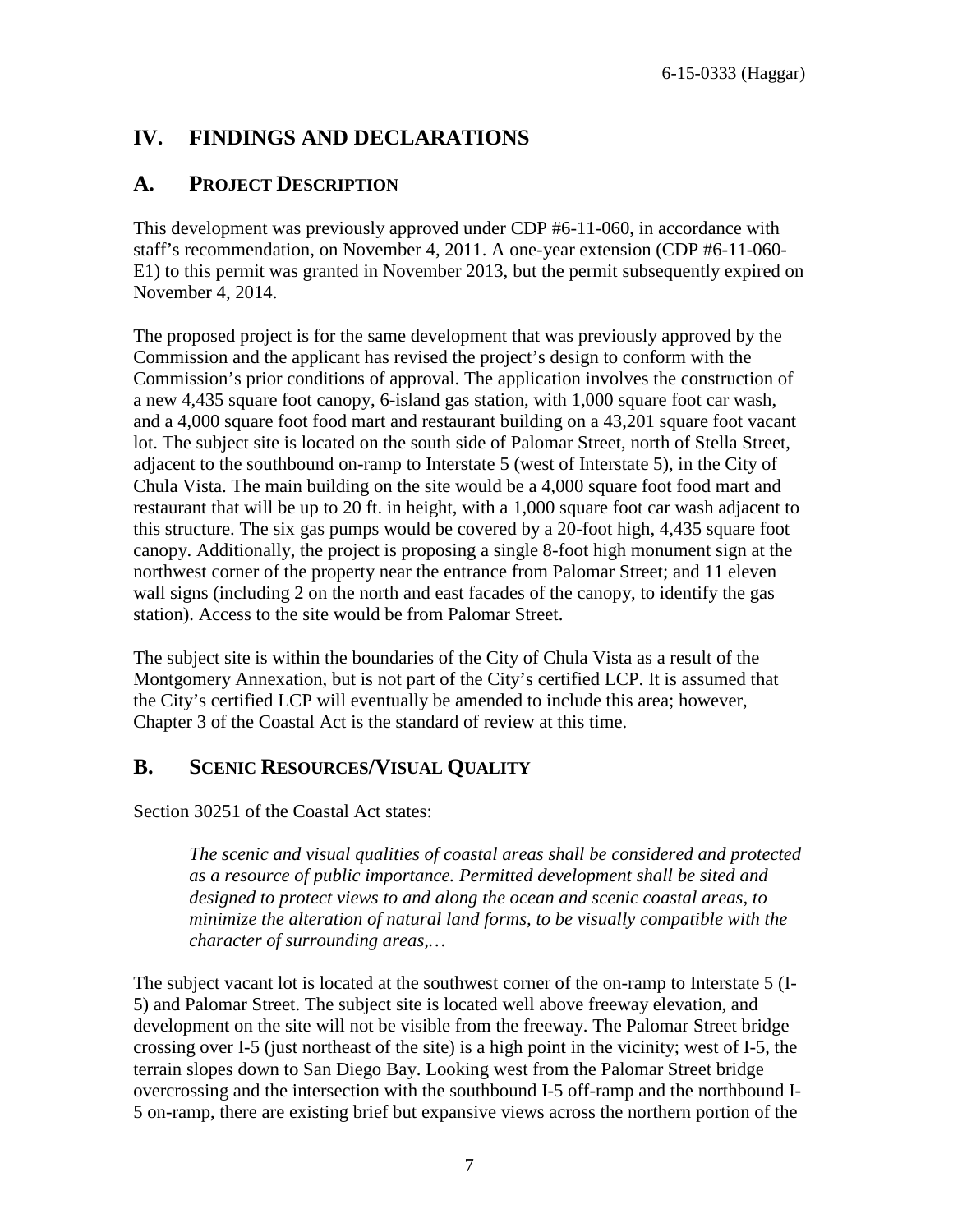## <span id="page-6-0"></span>**IV. FINDINGS AND DECLARATIONS**

#### <span id="page-6-1"></span>**A. PROJECT DESCRIPTION**

This development was previously approved under CDP #6-11-060, in accordance with staff's recommendation, on November 4, 2011. A one-year extension (CDP #6-11-060- E1) to this permit was granted in November 2013, but the permit subsequently expired on November 4, 2014.

The proposed project is for the same development that was previously approved by the Commission and the applicant has revised the project's design to conform with the Commission's prior conditions of approval. The application involves the construction of a new 4,435 square foot canopy, 6-island gas station, with 1,000 square foot car wash, and a 4,000 square foot food mart and restaurant building on a 43,201 square foot vacant lot. The subject site is located on the south side of Palomar Street, north of Stella Street, adjacent to the southbound on-ramp to Interstate 5 (west of Interstate 5), in the City of Chula Vista. The main building on the site would be a 4,000 square foot food mart and restaurant that will be up to 20 ft. in height, with a 1,000 square foot car wash adjacent to this structure. The six gas pumps would be covered by a 20-foot high, 4,435 square foot canopy. Additionally, the project is proposing a single 8-foot high monument sign at the northwest corner of the property near the entrance from Palomar Street; and 11 eleven wall signs (including 2 on the north and east facades of the canopy, to identify the gas station). Access to the site would be from Palomar Street.

The subject site is within the boundaries of the City of Chula Vista as a result of the Montgomery Annexation, but is not part of the City's certified LCP. It is assumed that the City's certified LCP will eventually be amended to include this area; however, Chapter 3 of the Coastal Act is the standard of review at this time.

#### <span id="page-6-2"></span>**B. SCENIC RESOURCES/VISUAL QUALITY**

Section 30251 of the Coastal Act states:

 *The scenic and visual qualities of coastal areas shall be considered and protected as a resource of public importance. Permitted development shall be sited and designed to protect views to and along the ocean and scenic coastal areas, to minimize the alteration of natural land forms, to be visually compatible with the character of surrounding areas,…* 

The subject vacant lot is located at the southwest corner of the on-ramp to Interstate 5 (I-5) and Palomar Street. The subject site is located well above freeway elevation, and development on the site will not be visible from the freeway. The Palomar Street bridge crossing over I-5 (just northeast of the site) is a high point in the vicinity; west of I-5, the terrain slopes down to San Diego Bay. Looking west from the Palomar Street bridge overcrossing and the intersection with the southbound I-5 off-ramp and the northbound I-5 on-ramp, there are existing brief but expansive views across the northern portion of the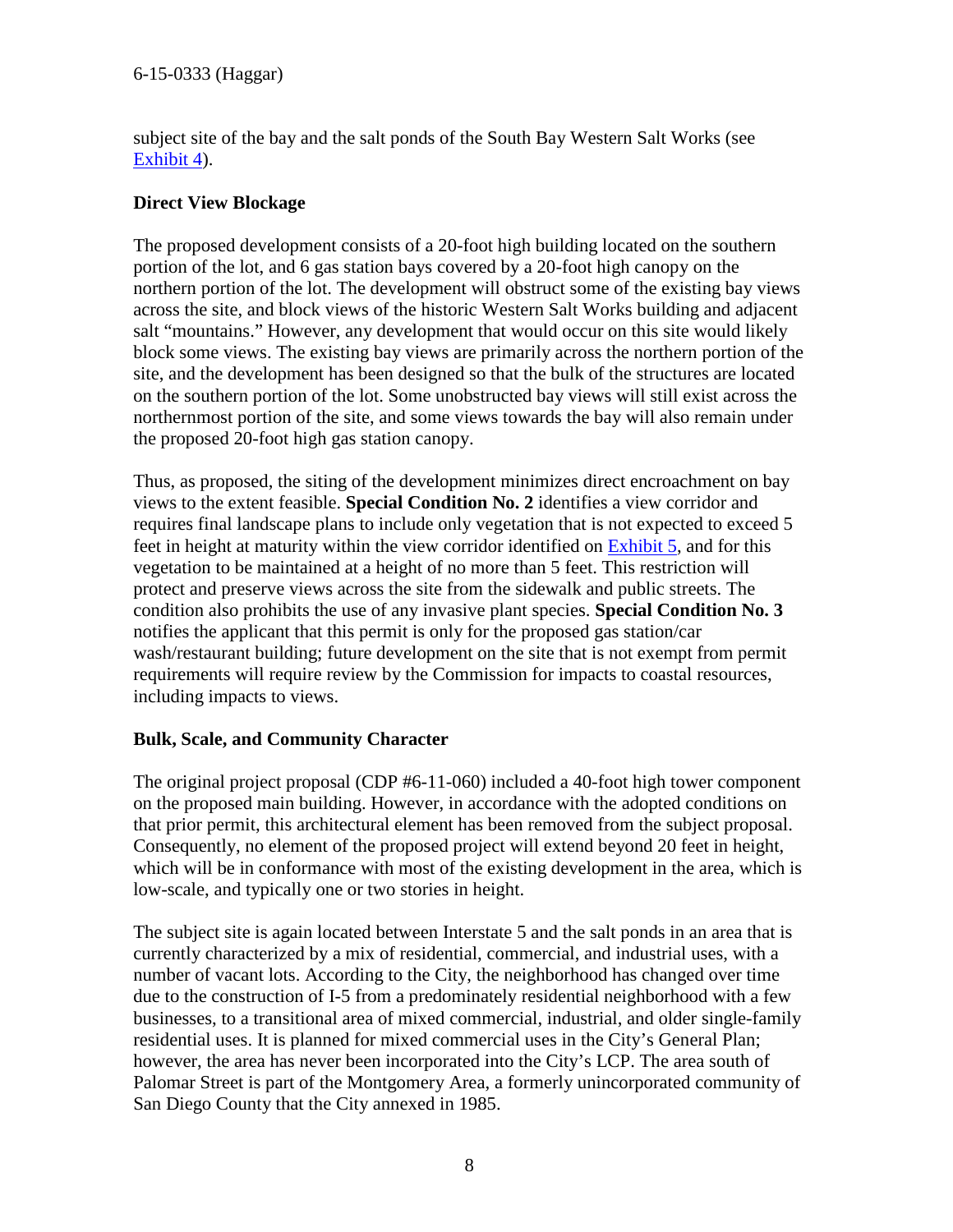subject site of the bay and the salt ponds of the South Bay Western Salt Works (see [Exhibit 4\)](#page-16-0).

#### **Direct View Blockage**

The proposed development consists of a 20-foot high building located on the southern portion of the lot, and 6 gas station bays covered by a 20-foot high canopy on the northern portion of the lot. The development will obstruct some of the existing bay views across the site, and block views of the historic Western Salt Works building and adjacent salt "mountains." However, any development that would occur on this site would likely block some views. The existing bay views are primarily across the northern portion of the site, and the development has been designed so that the bulk of the structures are located on the southern portion of the lot. Some unobstructed bay views will still exist across the northernmost portion of the site, and some views towards the bay will also remain under the proposed 20-foot high gas station canopy.

Thus, as proposed, the siting of the development minimizes direct encroachment on bay views to the extent feasible. **Special Condition No. 2** identifies a view corridor and requires final landscape plans to include only vegetation that is not expected to exceed 5 feet in height at maturity within the view corridor identified on [Exhibit 5,](#page-17-0) and for this vegetation to be maintained at a height of no more than 5 feet. This restriction will protect and preserve views across the site from the sidewalk and public streets. The condition also prohibits the use of any invasive plant species. **Special Condition No. 3** notifies the applicant that this permit is only for the proposed gas station/car wash/restaurant building; future development on the site that is not exempt from permit requirements will require review by the Commission for impacts to coastal resources, including impacts to views.

#### **Bulk, Scale, and Community Character**

The original project proposal (CDP #6-11-060) included a 40-foot high tower component on the proposed main building. However, in accordance with the adopted conditions on that prior permit, this architectural element has been removed from the subject proposal. Consequently, no element of the proposed project will extend beyond 20 feet in height, which will be in conformance with most of the existing development in the area, which is low-scale, and typically one or two stories in height.

The subject site is again located between Interstate 5 and the salt ponds in an area that is currently characterized by a mix of residential, commercial, and industrial uses, with a number of vacant lots. According to the City, the neighborhood has changed over time due to the construction of I-5 from a predominately residential neighborhood with a few businesses, to a transitional area of mixed commercial, industrial, and older single-family residential uses. It is planned for mixed commercial uses in the City's General Plan; however, the area has never been incorporated into the City's LCP. The area south of Palomar Street is part of the Montgomery Area, a formerly unincorporated community of San Diego County that the City annexed in 1985.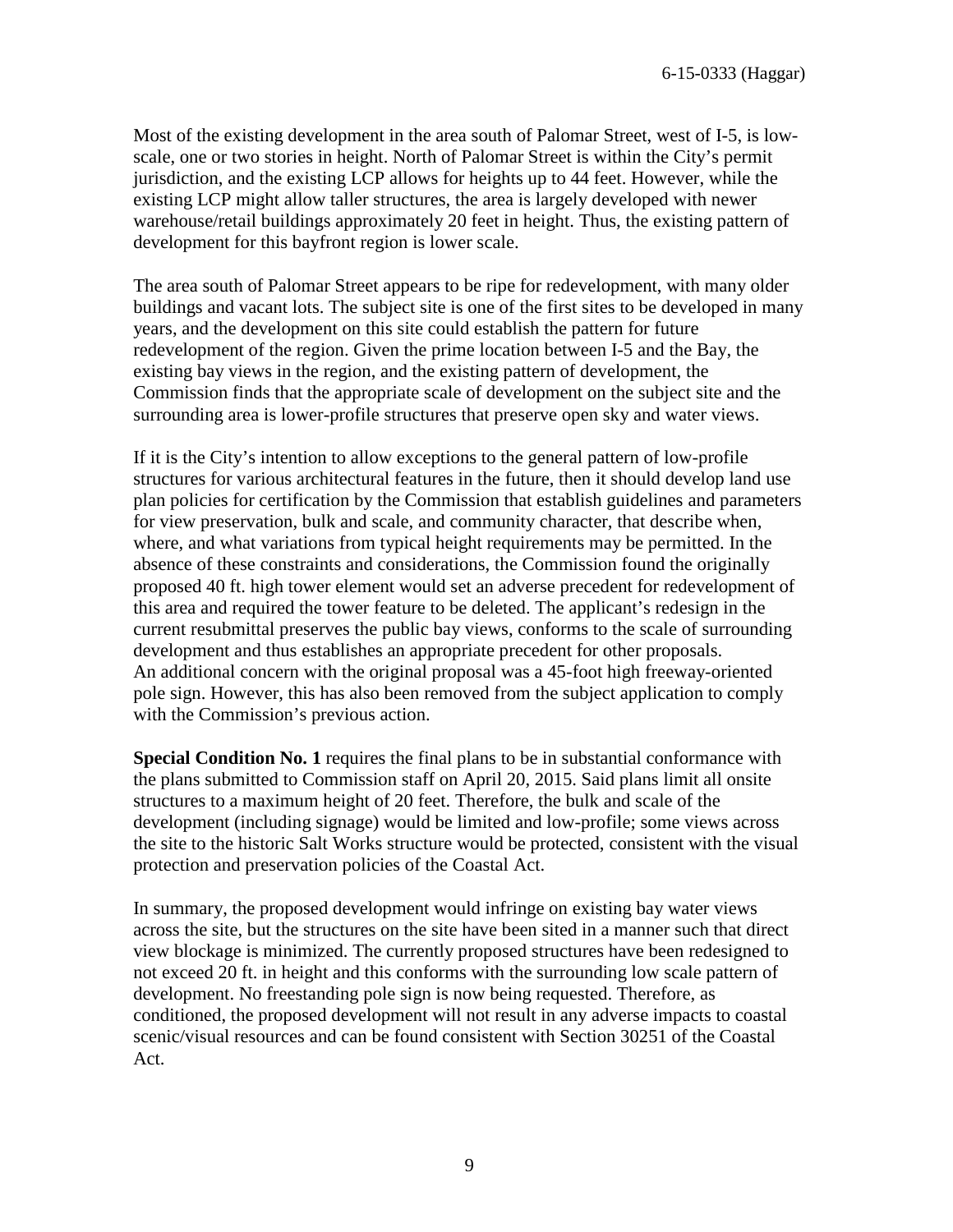Most of the existing development in the area south of Palomar Street, west of I-5, is lowscale, one or two stories in height. North of Palomar Street is within the City's permit jurisdiction, and the existing LCP allows for heights up to 44 feet. However, while the existing LCP might allow taller structures, the area is largely developed with newer warehouse/retail buildings approximately 20 feet in height. Thus, the existing pattern of development for this bayfront region is lower scale.

The area south of Palomar Street appears to be ripe for redevelopment, with many older buildings and vacant lots. The subject site is one of the first sites to be developed in many years, and the development on this site could establish the pattern for future redevelopment of the region. Given the prime location between I-5 and the Bay, the existing bay views in the region, and the existing pattern of development, the Commission finds that the appropriate scale of development on the subject site and the surrounding area is lower-profile structures that preserve open sky and water views.

If it is the City's intention to allow exceptions to the general pattern of low-profile structures for various architectural features in the future, then it should develop land use plan policies for certification by the Commission that establish guidelines and parameters for view preservation, bulk and scale, and community character, that describe when, where, and what variations from typical height requirements may be permitted. In the absence of these constraints and considerations, the Commission found the originally proposed 40 ft. high tower element would set an adverse precedent for redevelopment of this area and required the tower feature to be deleted. The applicant's redesign in the current resubmittal preserves the public bay views, conforms to the scale of surrounding development and thus establishes an appropriate precedent for other proposals. An additional concern with the original proposal was a 45-foot high freeway-oriented pole sign. However, this has also been removed from the subject application to comply with the Commission's previous action.

**Special Condition No. 1** requires the final plans to be in substantial conformance with the plans submitted to Commission staff on April 20, 2015. Said plans limit all onsite structures to a maximum height of 20 feet. Therefore, the bulk and scale of the development (including signage) would be limited and low-profile; some views across the site to the historic Salt Works structure would be protected, consistent with the visual protection and preservation policies of the Coastal Act.

In summary, the proposed development would infringe on existing bay water views across the site, but the structures on the site have been sited in a manner such that direct view blockage is minimized. The currently proposed structures have been redesigned to not exceed 20 ft. in height and this conforms with the surrounding low scale pattern of development. No freestanding pole sign is now being requested. Therefore, as conditioned, the proposed development will not result in any adverse impacts to coastal scenic/visual resources and can be found consistent with Section 30251 of the Coastal Act.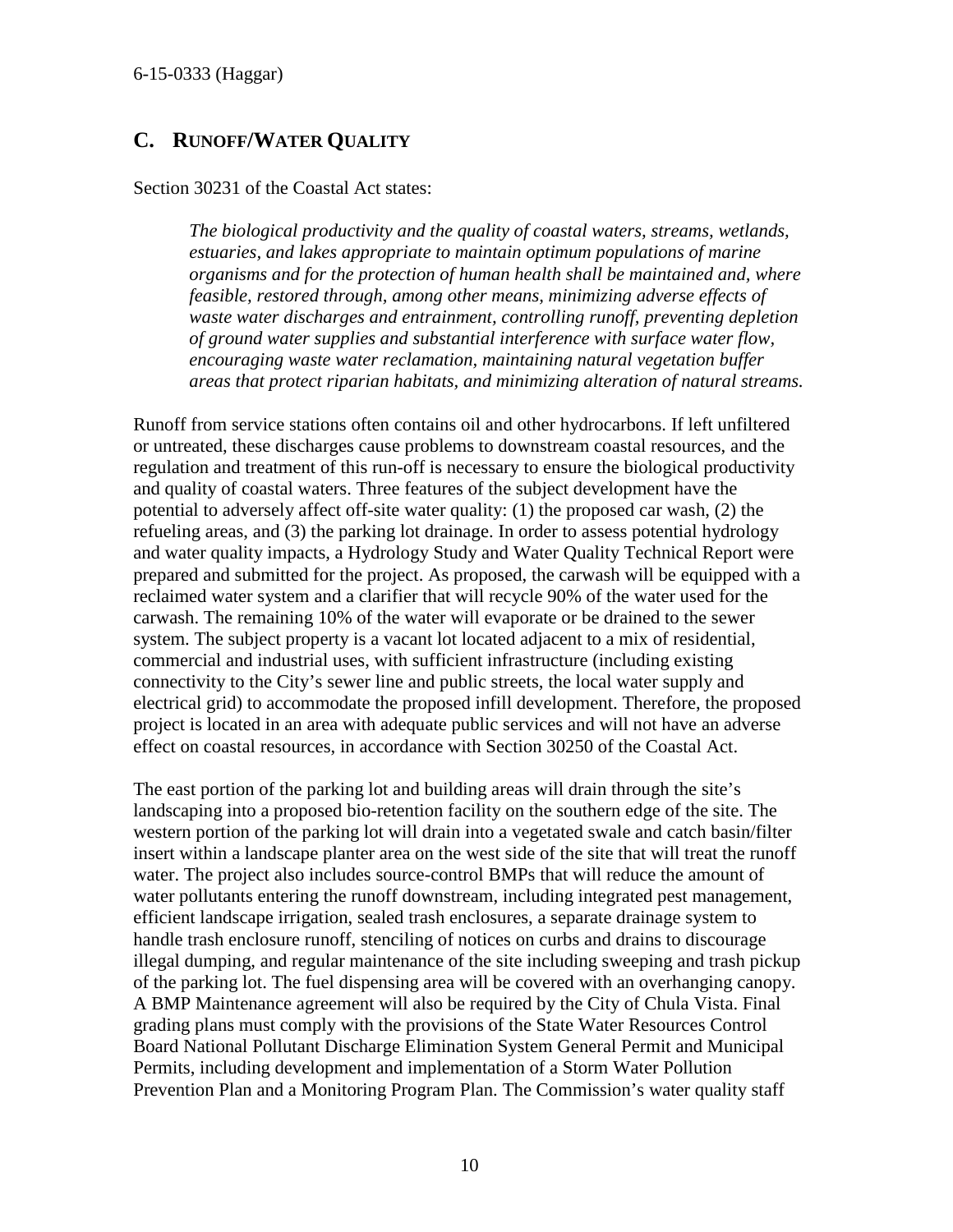#### <span id="page-9-0"></span>**C. RUNOFF/WATER QUALITY**

Section 30231 of the Coastal Act states:

*The biological productivity and the quality of coastal waters, streams, wetlands, estuaries, and lakes appropriate to maintain optimum populations of marine organisms and for the protection of human health shall be maintained and, where feasible, restored through, among other means, minimizing adverse effects of waste water discharges and entrainment, controlling runoff, preventing depletion of ground water supplies and substantial interference with surface water flow, encouraging waste water reclamation, maintaining natural vegetation buffer areas that protect riparian habitats, and minimizing alteration of natural streams.* 

Runoff from service stations often contains oil and other hydrocarbons. If left unfiltered or untreated, these discharges cause problems to downstream coastal resources, and the regulation and treatment of this run-off is necessary to ensure the biological productivity and quality of coastal waters. Three features of the subject development have the potential to adversely affect off-site water quality: (1) the proposed car wash, (2) the refueling areas, and (3) the parking lot drainage. In order to assess potential hydrology and water quality impacts, a Hydrology Study and Water Quality Technical Report were prepared and submitted for the project. As proposed, the carwash will be equipped with a reclaimed water system and a clarifier that will recycle 90% of the water used for the carwash. The remaining 10% of the water will evaporate or be drained to the sewer system. The subject property is a vacant lot located adjacent to a mix of residential, commercial and industrial uses, with sufficient infrastructure (including existing connectivity to the City's sewer line and public streets, the local water supply and electrical grid) to accommodate the proposed infill development. Therefore, the proposed project is located in an area with adequate public services and will not have an adverse effect on coastal resources, in accordance with Section 30250 of the Coastal Act.

The east portion of the parking lot and building areas will drain through the site's landscaping into a proposed bio-retention facility on the southern edge of the site. The western portion of the parking lot will drain into a vegetated swale and catch basin/filter insert within a landscape planter area on the west side of the site that will treat the runoff water. The project also includes source-control BMPs that will reduce the amount of water pollutants entering the runoff downstream, including integrated pest management, efficient landscape irrigation, sealed trash enclosures, a separate drainage system to handle trash enclosure runoff, stenciling of notices on curbs and drains to discourage illegal dumping, and regular maintenance of the site including sweeping and trash pickup of the parking lot. The fuel dispensing area will be covered with an overhanging canopy. A BMP Maintenance agreement will also be required by the City of Chula Vista. Final grading plans must comply with the provisions of the State Water Resources Control Board National Pollutant Discharge Elimination System General Permit and Municipal Permits, including development and implementation of a Storm Water Pollution Prevention Plan and a Monitoring Program Plan. The Commission's water quality staff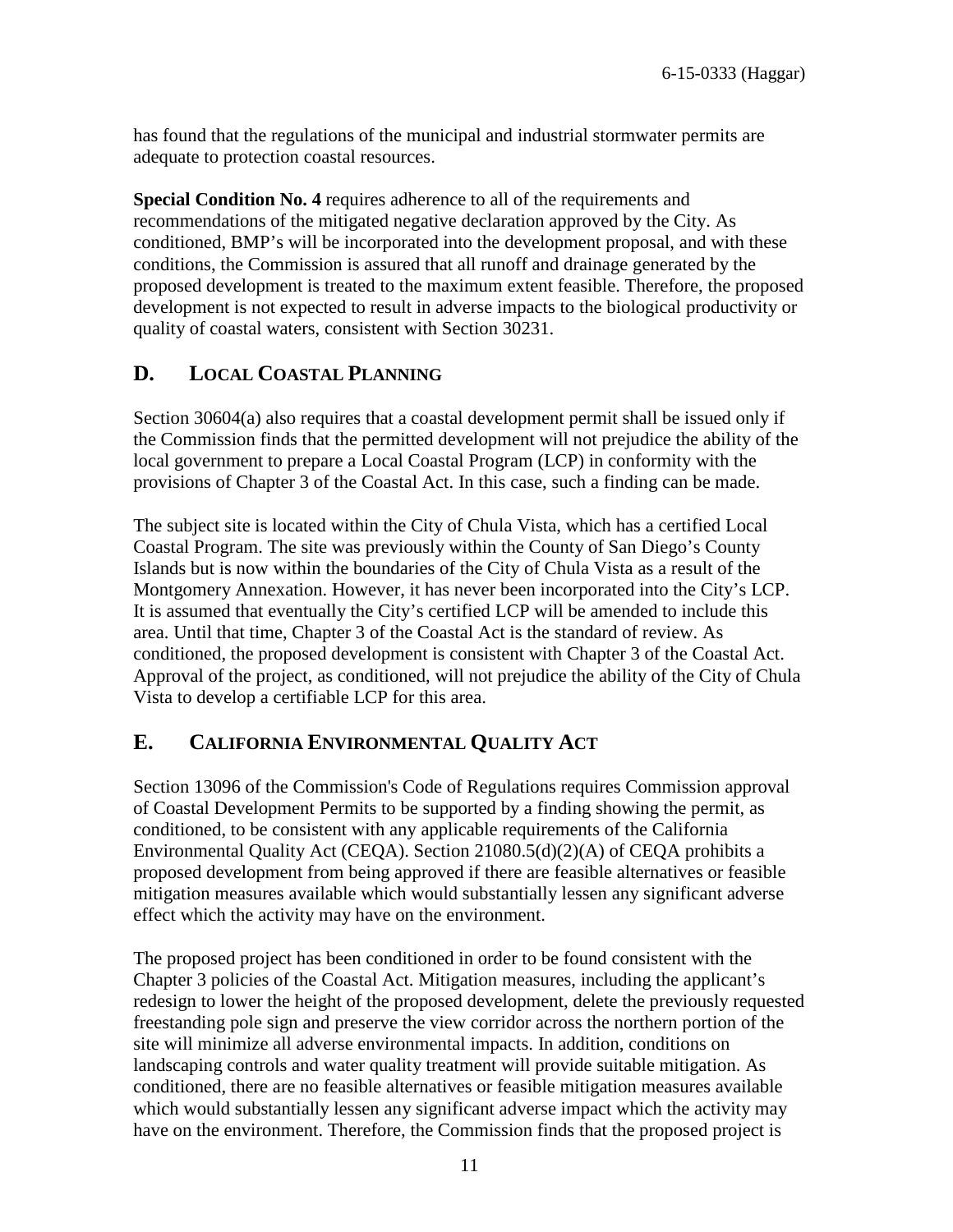has found that the regulations of the municipal and industrial stormwater permits are adequate to protection coastal resources.

**Special Condition No. 4** requires adherence to all of the requirements and recommendations of the mitigated negative declaration approved by the City. As conditioned, BMP's will be incorporated into the development proposal, and with these conditions, the Commission is assured that all runoff and drainage generated by the proposed development is treated to the maximum extent feasible. Therefore, the proposed development is not expected to result in adverse impacts to the biological productivity or quality of coastal waters, consistent with Section 30231.

## <span id="page-10-0"></span>**D. LOCAL COASTAL PLANNING**

Section 30604(a) also requires that a coastal development permit shall be issued only if the Commission finds that the permitted development will not prejudice the ability of the local government to prepare a Local Coastal Program (LCP) in conformity with the provisions of Chapter 3 of the Coastal Act. In this case, such a finding can be made.

The subject site is located within the City of Chula Vista, which has a certified Local Coastal Program. The site was previously within the County of San Diego's County Islands but is now within the boundaries of the City of Chula Vista as a result of the Montgomery Annexation. However, it has never been incorporated into the City's LCP. It is assumed that eventually the City's certified LCP will be amended to include this area. Until that time, Chapter 3 of the Coastal Act is the standard of review. As conditioned, the proposed development is consistent with Chapter 3 of the Coastal Act. Approval of the project, as conditioned, will not prejudice the ability of the City of Chula Vista to develop a certifiable LCP for this area.

### <span id="page-10-1"></span>**E. CALIFORNIA ENVIRONMENTAL QUALITY ACT**

Section 13096 of the Commission's Code of Regulations requires Commission approval of Coastal Development Permits to be supported by a finding showing the permit, as conditioned, to be consistent with any applicable requirements of the California Environmental Quality Act (CEQA). Section 21080.5(d)(2)(A) of CEQA prohibits a proposed development from being approved if there are feasible alternatives or feasible mitigation measures available which would substantially lessen any significant adverse effect which the activity may have on the environment.

The proposed project has been conditioned in order to be found consistent with the Chapter 3 policies of the Coastal Act. Mitigation measures, including the applicant's redesign to lower the height of the proposed development, delete the previously requested freestanding pole sign and preserve the view corridor across the northern portion of the site will minimize all adverse environmental impacts. In addition, conditions on landscaping controls and water quality treatment will provide suitable mitigation. As conditioned, there are no feasible alternatives or feasible mitigation measures available which would substantially lessen any significant adverse impact which the activity may have on the environment. Therefore, the Commission finds that the proposed project is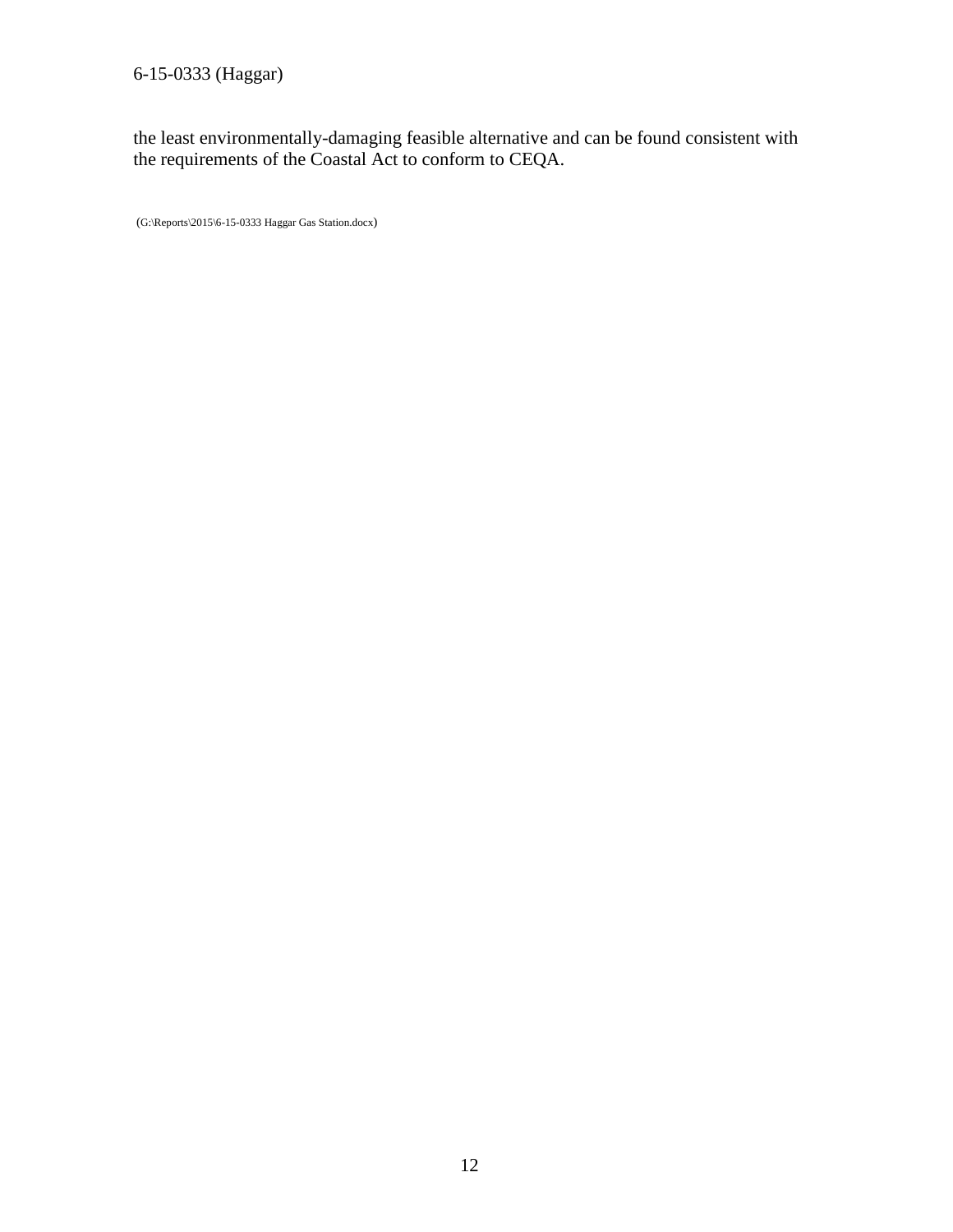6-15-0333 (Haggar)

the least environmentally-damaging feasible alternative and can be found consistent with the requirements of the Coastal Act to conform to CEQA.

<span id="page-11-0"></span>(G:\Reports\2015\6-15-0333 Haggar Gas Station.docx)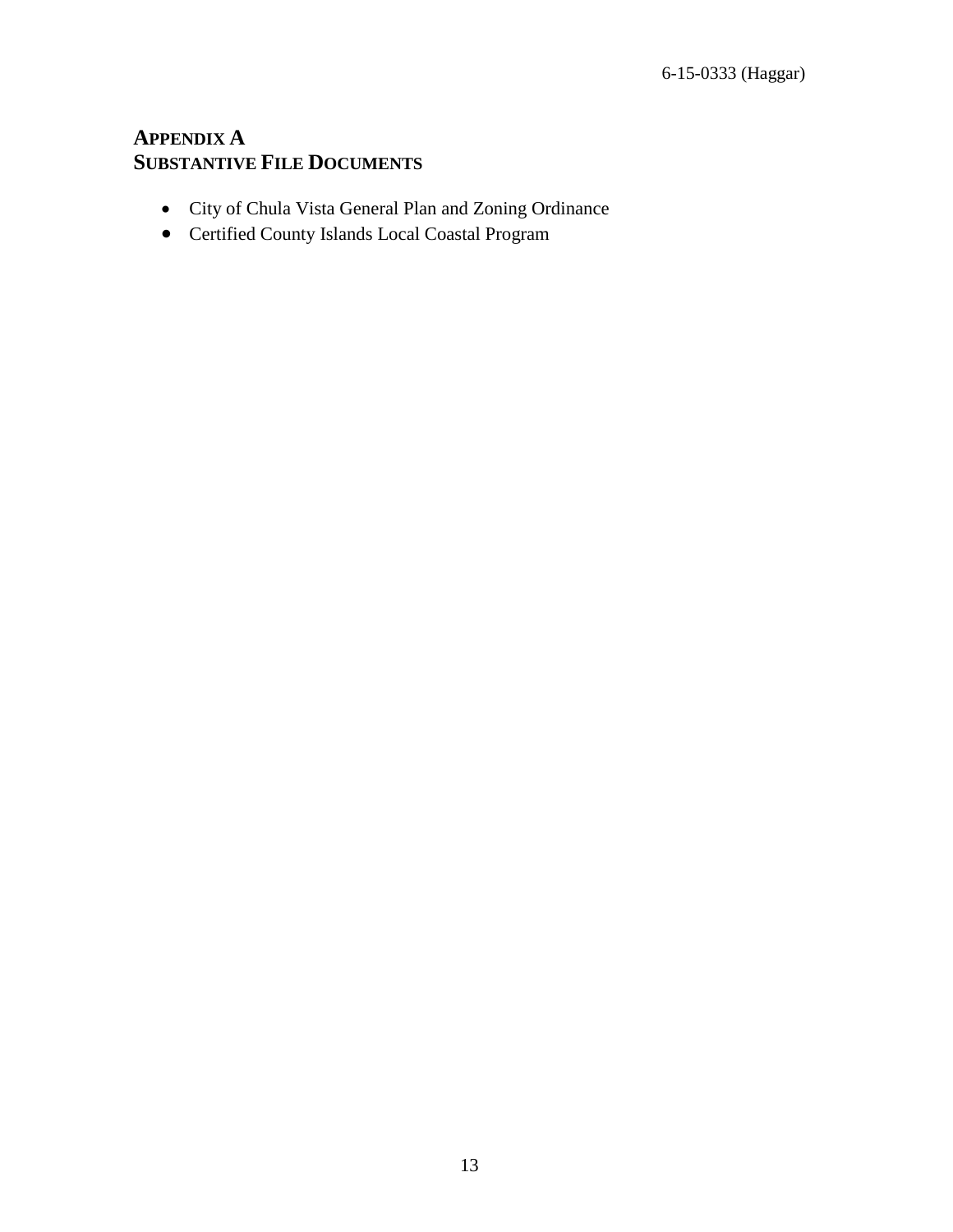#### **APPENDIX A SUBSTANTIVE FILE DOCUMENTS**

- City of Chula Vista General Plan and Zoning Ordinance
- Certified County Islands Local Coastal Program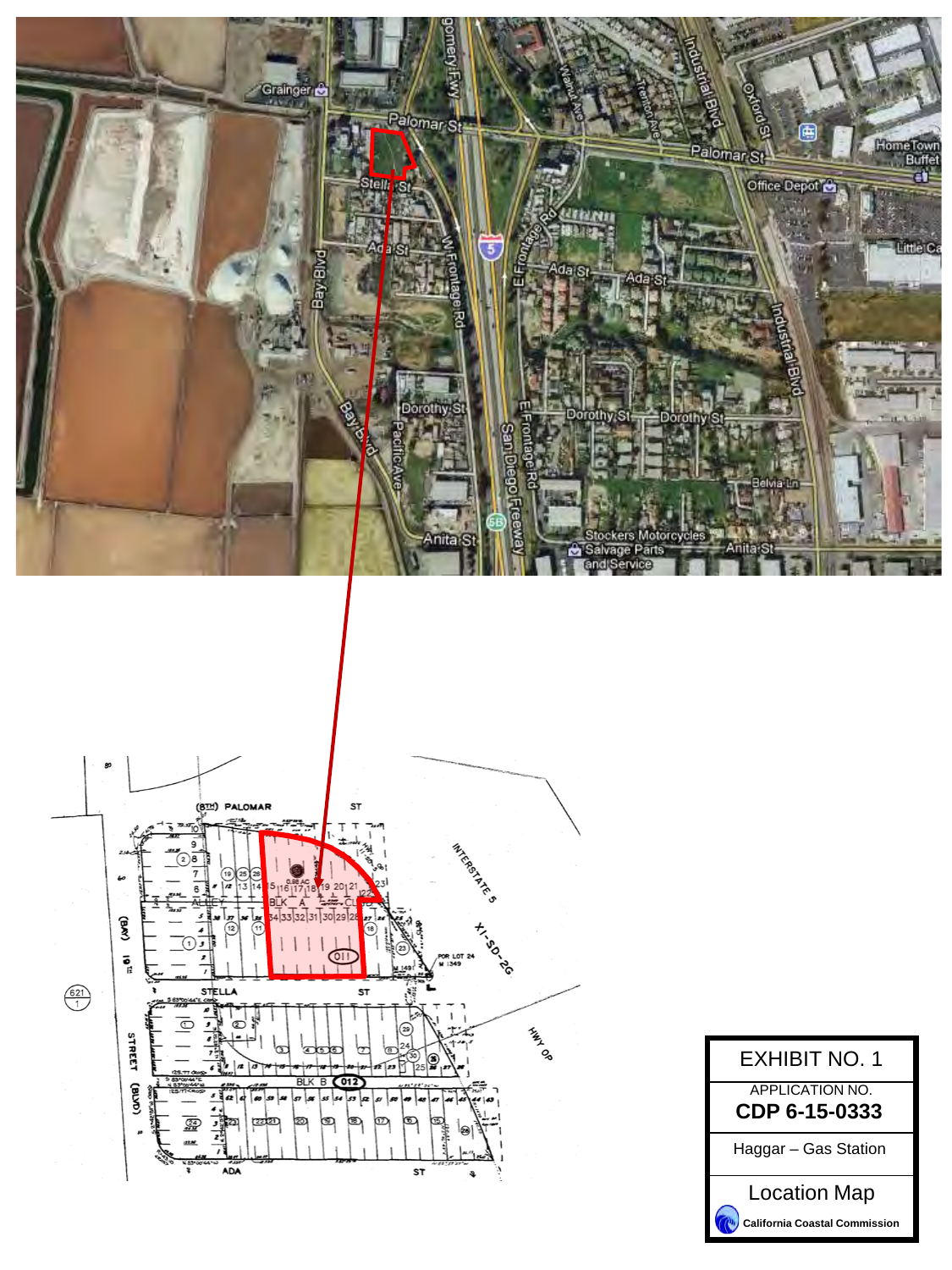



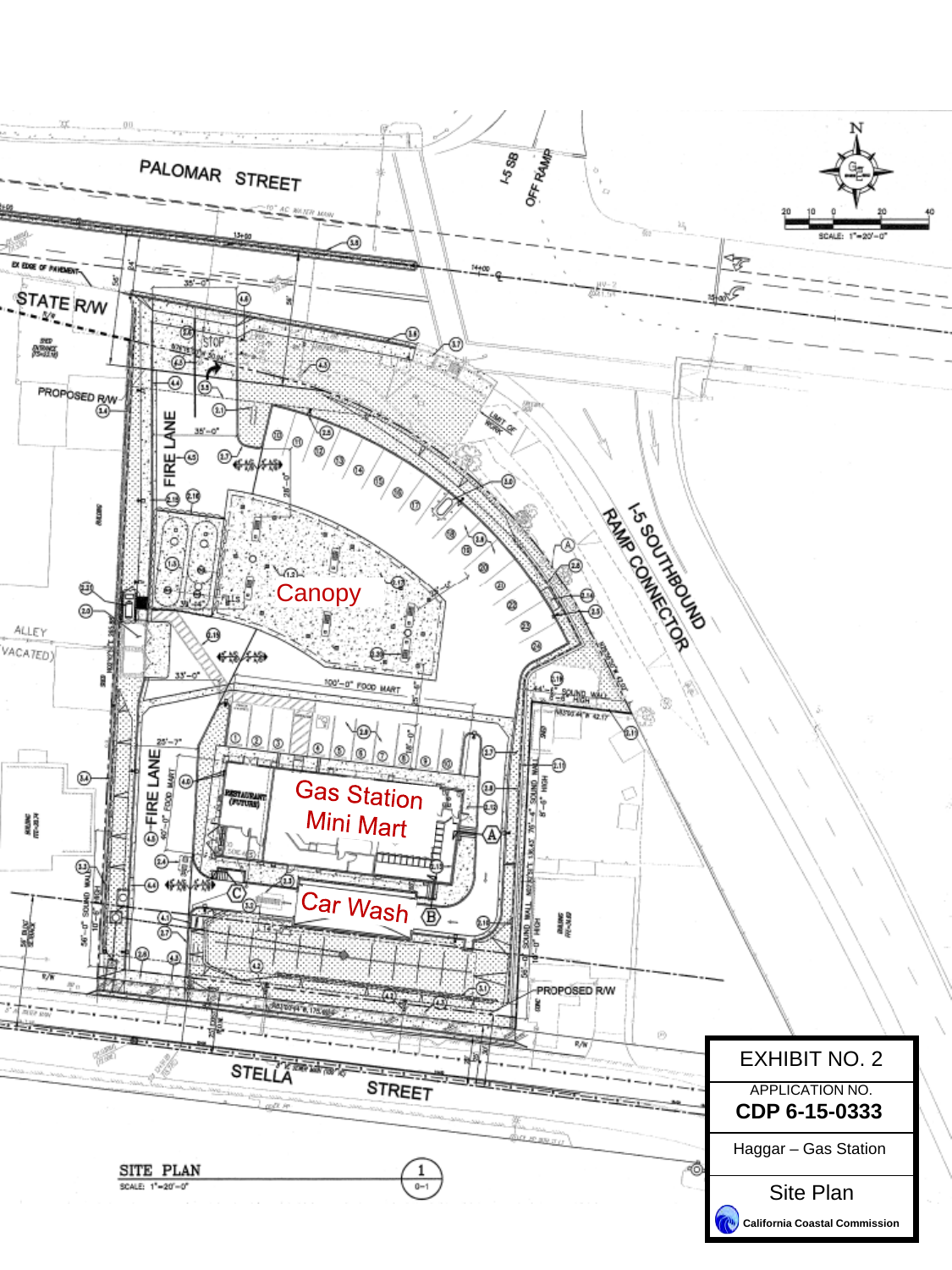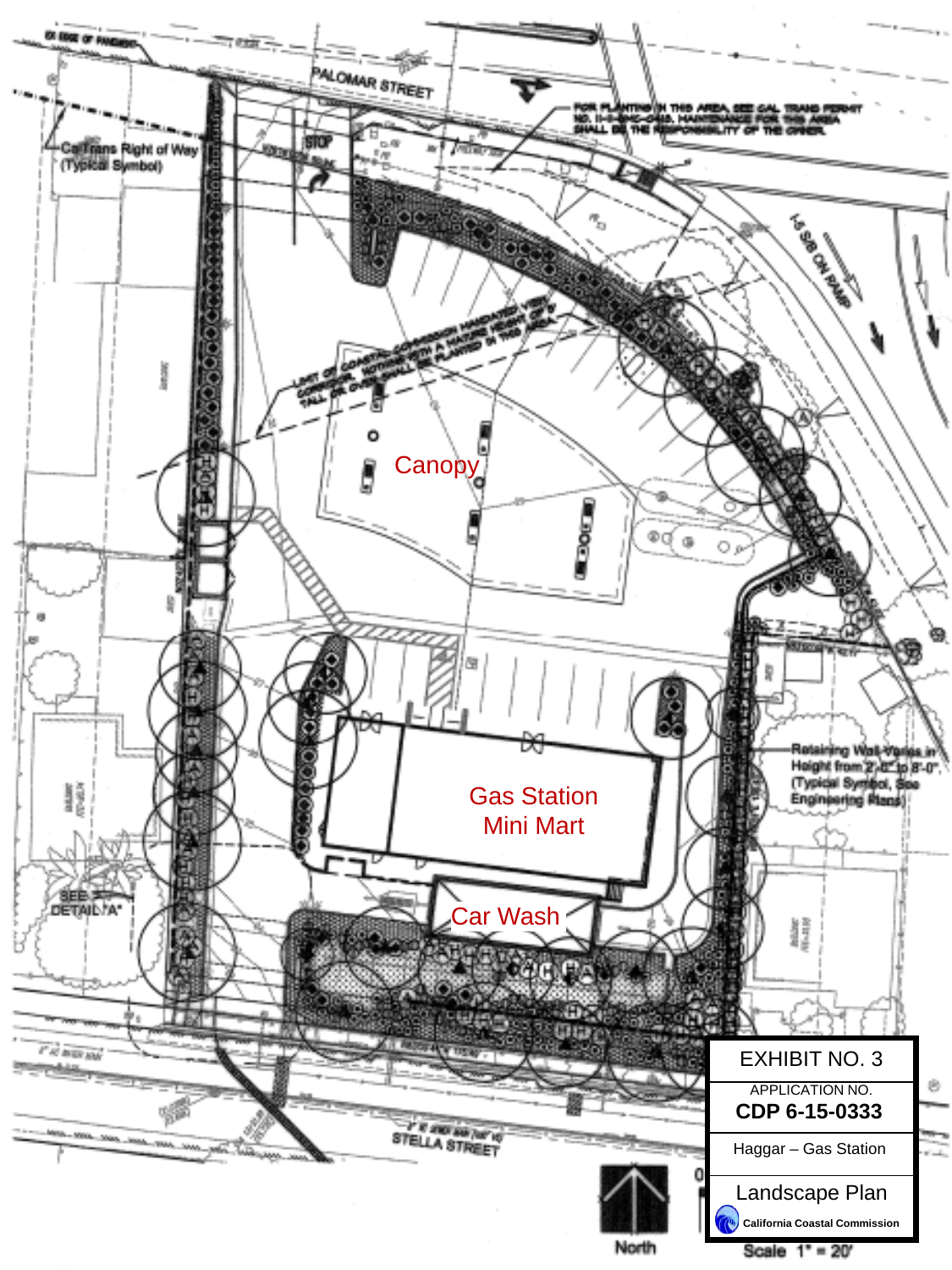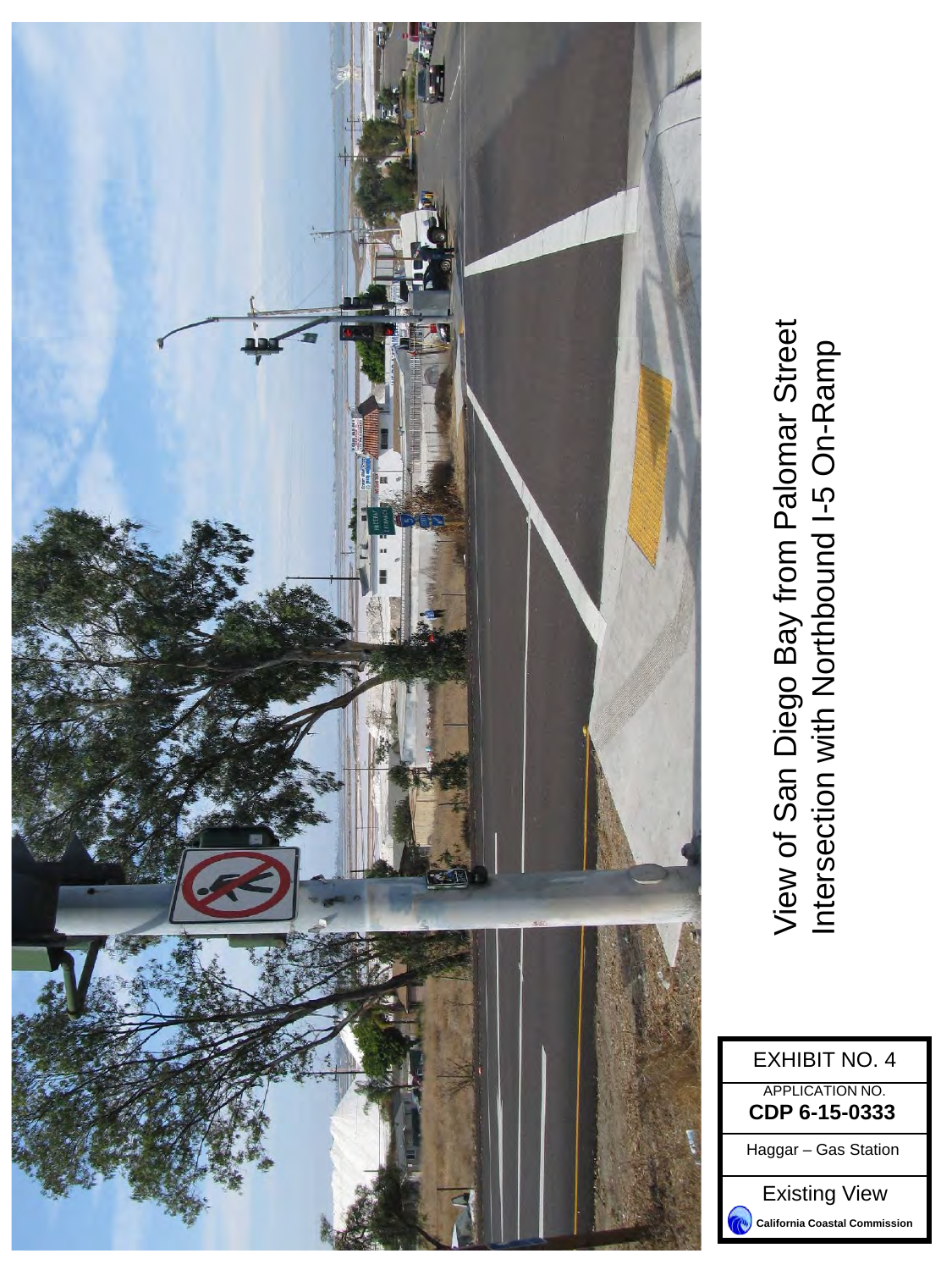<span id="page-16-0"></span>

View of San Diego Bay from Palomar Street View of San Diego Bay from Palomar Street<br>Intersection with Northbound I-5 On-Ramp Intersection with Northbound I-5 On-Ramp